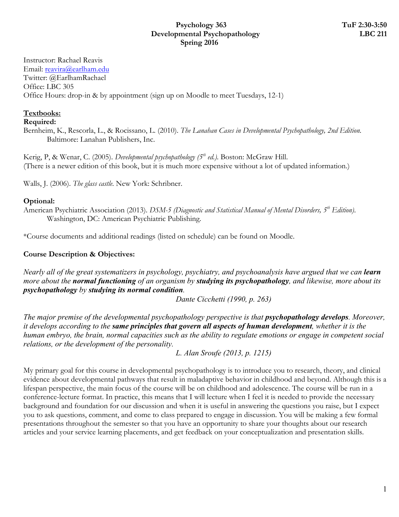#### **Psychology 363 TuF 2:30-3:50 Developmental Psychopathology LBC 211 Spring 2016**

Instructor: Rachael Reavis Email: reavira@earlham.edu Twitter: @EarlhamRachael Office: LBC 305 Office Hours: drop-in & by appointment (sign up on Moodle to meet Tuesdays, 12-1)

# **Textbooks:**

**Required:**

Bernheim, K., Rescorla, L., & Rocissano, L. (2010). *The Lanahan Cases in Developmental Psychopathology, 2nd Edition.* Baltimore: Lanahan Publishers, Inc.

Kerig, P, & Wenar, C. (2005). *Developmental psychopathology* (5<sup>th</sup> ed.). Boston: McGraw Hill. (There is a newer edition of this book, but it is much more expensive without a lot of updated information.)

Walls, J. (2006). *The glass castle*. New York: Schribner.

#### **Optional:**

American Psychiatric Association (2013). *DSM-5 (Diagnostic and Statistical Manual of Mental Disorders, 5<sup>th</sup> Edition*). Washington, DC: American Psychiatric Publishing.

\*Course documents and additional readings (listed on schedule) can be found on Moodle.

# **Course Description & Objectives:**

*Nearly all of the great systematizers in psychology, psychiatry, and psychoanalysis have argued that we can <i>learn more about the normal functioning of an organism by studying its psychopathology, and likewise, more about its psychopathology by studying its normal condition.*

*Dante Cicchetti (1990, p. 263)*

*The major premise of the developmental psychopathology perspective is that psychopathology develops. Moreover, it develops according to the same principles that govern all aspects of human development, whether it is the human embryo, the brain, normal capacities such as the ability to regulate emotions or engage in competent social relations, or the development of the personality.*

*L. Alan Sroufe (2013, p. 1215)*

My primary goal for this course in developmental psychopathology is to introduce you to research, theory, and clinical evidence about developmental pathways that result in maladaptive behavior in childhood and beyond. Although this is a lifespan perspective, the main focus of the course will be on childhood and adolescence. The course will be run in a conference-lecture format. In practice, this means that I will lecture when I feel it is needed to provide the necessary background and foundation for our discussion and when it is useful in answering the questions you raise, but I expect you to ask questions, comment, and come to class prepared to engage in discussion. You will be making a few formal presentations throughout the semester so that you have an opportunity to share your thoughts about our research articles and your service learning placements, and get feedback on your conceptualization and presentation skills.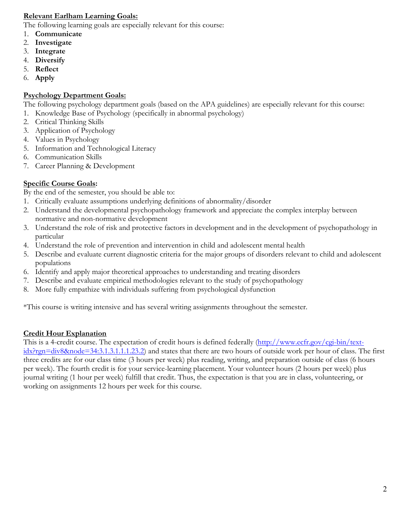### **Relevant Earlham Learning Goals:**

The following learning goals are especially relevant for this course:

- 1. **Communicate**
- 2. **Investigate**
- 3. **Integrate**
- 4. **Diversify**
- 5. **Reflect**
- 6. **Apply**

# **Psychology Department Goals:**

The following psychology department goals (based on the APA guidelines) are especially relevant for this course:

- 1. Knowledge Base of Psychology (specifically in abnormal psychology)
- 2. Critical Thinking Skills
- 3. Application of Psychology
- 4. Values in Psychology
- 5. Information and Technological Literacy
- 6. Communication Skills
- 7. Career Planning & Development

# **Specific Course Goals:**

By the end of the semester, you should be able to:

- 1. Critically evaluate assumptions underlying definitions of abnormality/disorder
- 2. Understand the developmental psychopathology framework and appreciate the complex interplay between normative and non-normative development
- 3. Understand the role of risk and protective factors in development and in the development of psychopathology in particular
- 4. Understand the role of prevention and intervention in child and adolescent mental health
- 5. Describe and evaluate current diagnostic criteria for the major groups of disorders relevant to child and adolescent populations
- 6. Identify and apply major theoretical approaches to understanding and treating disorders
- 7. Describe and evaluate empirical methodologies relevant to the study of psychopathology
- 8. More fully empathize with individuals suffering from psychological dysfunction

\*This course is writing intensive and has several writing assignments throughout the semester.

# **Credit Hour Explanation**

This is a 4-credit course. The expectation of credit hours is defined federally (http://www.ecfr.gov/cgi-bin/textidx?rgn=div8&node=34:3.1.3.1.1.1.23.2) and states that there are two hours of outside work per hour of class. The first three credits are for our class time (3 hours per week) plus reading, writing, and preparation outside of class (6 hours per week). The fourth credit is for your service-learning placement. Your volunteer hours (2 hours per week) plus journal writing (1 hour per week) fulfill that credit. Thus, the expectation is that you are in class, volunteering, or working on assignments 12 hours per week for this course.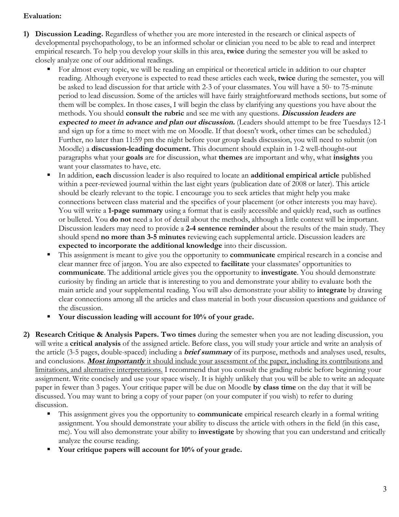#### **Evaluation:**

- **1) Discussion Leading.** Regardless of whether you are more interested in the research or clinical aspects of developmental psychopathology, to be an informed scholar or clinician you need to be able to read and interpret empirical research. To help you develop your skills in this area, **twice** during the semester you will be asked to closely analyze one of our additional readings.
	- For almost every topic, we will be reading an empirical or theoretical article in addition to our chapter reading. Although everyone is expected to read these articles each week, **twice** during the semester, you will be asked to lead discussion for that article with 2-3 of your classmates. You will have a 50- to 75-minute period to lead discussion. Some of the articles will have fairly straightforward methods sections, but some of them will be complex. In those cases, I will begin the class by clarifying any questions you have about the methods. You should **consult the rubric** and see me with any questions. **Discussion leaders are expected to meet in advance and plan out discussion.** (Leaders should attempt to be free Tuesdays 12-1 and sign up for a time to meet with me on Moodle. If that doesn't work, other times can be scheduled.) Further, no later than 11:59 pm the night before your group leads discussion, you will need to submit (on Moodle) a **discussion-leading document.** This document should explain in 1-2 well-thought-out paragraphs what your **goals** are for discussion, what **themes** are important and why, what **insights** you want your classmates to have, etc.
	- § In addition, **each** discussion leader is also required to locate an **additional empirical article** published within a peer-reviewed journal within the last eight years (publication date of 2008 or later). This article should be clearly relevant to the topic. I encourage you to seek articles that might help you make connections between class material and the specifics of your placement (or other interests you may have). You will write a **1-page summary** using a format that is easily accessible and quickly read, such as outlines or bulleted. You **do not** need a lot of detail about the methods, although a little context will be important. Discussion leaders may need to provide a **2-4 sentence reminder** about the results of the main study. They should spend **no more than 3-5 minutes** reviewing each supplemental article. Discussion leaders are **expected to incorporate the additional knowledge** into their discussion.
	- This assignment is meant to give you the opportunity to **communicate** empirical research in a concise and clear manner free of jargon. You are also expected to **facilitate** your classmates' opportunities to **communicate**. The additional article gives you the opportunity to **investigate**. You should demonstrate curiosity by finding an article that is interesting to you and demonstrate your ability to evaluate both the main article and your supplemental reading. You will also demonstrate your ability to **integrate** by drawing clear connections among all the articles and class material in both your discussion questions and guidance of the discussion.
	- § **Your discussion leading will account for 10% of your grade.**
- **2) Research Critique & Analysis Papers. Two times** during the semester when you are not leading discussion, you will write a **critical analysis** of the assigned article. Before class, you will study your article and write an analysis of the article (3-5 pages, double-spaced) including a **brief summary** of its purpose, methods and analyses used, results, and conclusions. **Most importantly** it should include your assessment of the paper, including its contributions and limitations, and alternative interpretations. I recommend that you consult the grading rubric before beginning your assignment. Write concisely and use your space wisely. It is highly unlikely that you will be able to write an adequate paper in fewer than 3 pages. Your critique paper will be due on Moodle **by class time** on the day that it will be discussed. You may want to bring a copy of your paper (on your computer if you wish) to refer to during discussion.
	- § This assignment gives you the opportunity to **communicate** empirical research clearly in a formal writing assignment. You should demonstrate your ability to discuss the article with others in the field (in this case, me). You will also demonstrate your ability to **investigate** by showing that you can understand and critically analyze the course reading.
	- § **Your critique papers will account for 10% of your grade.**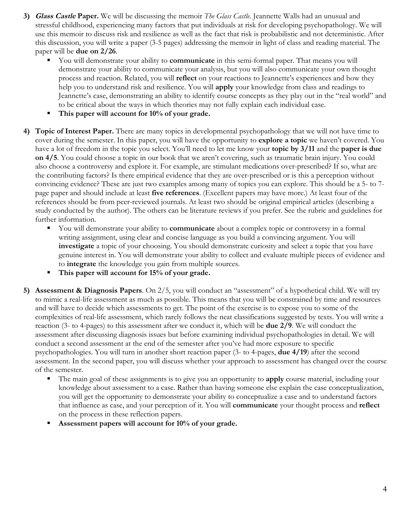- **3) Glass Castle Paper.** We will be discussing the memoir *The Glass Castle*. Jeannette Walls had an unusual and stressful childhood, experiencing many factors that put individuals at risk for developing psychopathology. We will use this memoir to discuss risk and resilience as well as the fact that risk is probabilistic and not deterministic. After this discussion, you will write a paper (3-5 pages) addressing the memoir in light of class and reading material. The paper will be **due on 2/26**.
	- § You will demonstrate your ability to **communicate** in this semi-formal paper. That means you will demonstrate your ability to communicate your analysis, but you will also communicate your own thought process and reaction. Related, you will **reflect** on your reactions to Jeannette's experiences and how they help you to understand risk and resilience. You will **apply** your knowledge from class and readings to Jeannette's case, demonstrating an ability to identify course concepts as they play out in the "real world" and to be critical about the ways in which theories may not fully explain each individual case.
	- § **This paper will account for 10% of your grade.**
- **4) Topic of Interest Paper.** There are many topics in developmental psychopathology that we will not have time to cover during the semester. In this paper, you will have the opportunity to **explore a topic** we haven't covered. You have a lot of freedom in the topic you select. You'll need to let me know your **topic by 3/11** and the **paper is due on 4/5**. You could choose a topic in our book that we aren't covering, such as traumatic brain injury. You could also choose a controversy and explore it. For example, are stimulant medications over-prescribed? If so, what are the contributing factors? Is there empirical evidence that they are over-prescribed or is this a perception without convincing evidence? These are just two examples among many of topics you can explore. This should be a 5- to 7 page paper and should include at least **five references**. (Excellent papers may have more.) At least four of the references should be from peer-reviewed journals. At least two should be original empirical articles (describing a study conducted by the author). The others can be literature reviews if you prefer. See the rubric and guidelines for further information.
	- You will demonstrate your ability to **communicate** about a complex topic or controversy in a formal writing assignment, using clear and concise language as you build a convincing argument. You will **investigate** a topic of your choosing. You should demonstrate curiosity and select a topic that you have genuine interest in. You will demonstrate your ability to collect and evaluate multiple pieces of evidence and to **integrate** the knowledge you gain from multiple sources.
	- § **This paper will account for 15% of your grade.**
- **5) Assessment & Diagnosis Papers**. On 2/5, you will conduct an "assessment" of a hypothetical child. We will try to mimic a real-life assessment as much as possible. This means that you will be constrained by time and resources and will have to decide which assessments to get. The point of the exercise is to expose you to some of the complexities of real-life assessment, which rarely follows the neat classifications suggested by texts. You will write a reaction (3- to 4-pages) to this assessment after we conduct it, which will be **due 2/9**. We will conduct the assessment after discussing diagnosis issues but before examining individual psychopathologies in detail. We will conduct a second assessment at the end of the semester after you've had more exposure to specific psychopathologies. You will turn in another short reaction paper (3- to 4-pages, **due 4/19**) after the second assessment. In the second paper, you will discuss whether your approach to assessment has changed over the course of the semester.
	- § The main goal of these assignments is to give you an opportunity to **apply** course material, including your knowledge about assessment to a case. Rather than having someone else explain the case conceptualization, you will get the opportunity to demonstrate your ability to conceptualize a case and to understand factors that influence as case, and your perception of it. You will **communicate** your thought process and **reflect** on the process in these reflection papers.
	- § **Assessment papers will account for 10% of your grade.**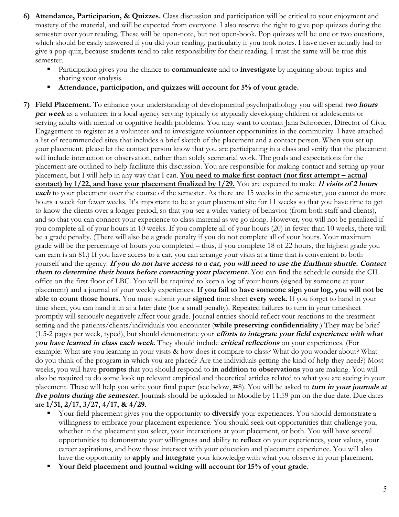- **6) Attendance, Participation, & Quizzes.** Class discussion and participation will be critical to your enjoyment and mastery of the material, and will be expected from everyone. I also reserve the right to give pop quizzes during the semester over your reading. These will be open-note, but not open-book. Pop quizzes will be one or two questions, which should be easily answered if you did your reading, particularly if you took notes. I have never actually had to give a pop quiz, because students tend to take responsibility for their reading. I trust the same will be true this semester.
	- Participation gives you the chance to **communicate** and to **investigate** by inquiring about topics and sharing your analysis.
	- Attendance, participation, and quizzes will account for 5% of your grade.

**7) Field Placement.** To enhance your understanding of developmental psychopathology you will spend **two hours per week** as a volunteer in a local agency serving typically or atypically developing children or adolescents or serving adults with mental or cognitive health problems. You may want to contact Jana Schroeder, Director of Civic Engagement to register as a volunteer and to investigate volunteer opportunities in the community. I have attached a list of recommended sites that includes a brief sketch of the placement and a contact person. When you set up your placement, please let the contact person know that you are participating in a class and verify that the placement will include interaction or observation, rather than solely secretarial work. The goals and expectations for the placement are outlined to help facilitate this discussion. You are responsible for making contact and setting up your placement, but I will help in any way that I can. **You need to make first contact (not first attempt – actual contact) by 1/22, and have your placement finalized by 1/29.** You are expected to make **<sup>11</sup> visits of 2 hours each** to your placement over the course of the semester. As there are 15 weeks in the semester, you cannot do more hours a week for fewer weeks. It's important to be at your placement site for 11 weeks so that you have time to get to know the clients over a longer period, so that you see a wider variety of behavior (from both staff and clients), and so that you can connect your experience to class material as we go along. However, you will not be penalized if you complete all of your hours in 10 weeks. If you complete all of your hours (20) in fewer than 10 weeks, there will be a grade penalty. (There will also be a grade penalty if you do not complete all of your hours. Your maximum grade will be the percentage of hours you completed – thus, if you complete 18 of 22 hours, the highest grade you can earn is an 81.) If you have access to a car, you can arrange your visits at a time that is convenient to both yourself and the agency. **If you do not have access to a car, you will need to use the Earlham shuttle. Contact them to determine their hours before contacting your placement.** You can find the schedule outside the CIL office on the first floor of LBC. You will be required to keep a log of your hours (signed by someone at your placement) and a journal of your weekly experiences. **If you fail to have someone sign your log, you will not be able to count those hours.** You must submit your **signed** time sheet **every week**. If you forget to hand in your time sheet, you can hand it in at a later date (for a small penalty). Repeated failures to turn in your timesheet promptly will seriously negatively affect your grade. Journal entries should reflect your reactions to the treatment setting and the patients/clients/individuals you encounter (**while preserving confidentiality**.) They may be brief (1.5-2 pages per week, typed), but should demonstrate your **efforts to integrate your field experience with what you have learned in class each week**. They should include **critical reflections** on your experiences. (For example: What are you learning in your visits & how does it compare to class? What do you wonder about? What do you think of the program in which you are placed? Are the individuals getting the kind of help they need?) Most weeks, you will have **prompts** that you should respond to **in addition to observations** you are making. You will also be required to do some look up relevant empirical and theoretical articles related to what you are seeing in your placement. These will help you write your final paper (see below, #8). You will be asked to **turn in your journals at five points during the semester.** Journals should be uploaded to Moodle by 11:59 pm on the due date. Due dates are **1/31, 2/17, 3/27, 4/17, & 4/29.**

- § Your field placement gives you the opportunity to **diversify** your experiences. You should demonstrate a willingness to embrace your placement experience. You should seek out opportunities that challenge you, whether in the placement you select, your interactions at your placement, or both. You will have several opportunities to demonstrate your willingness and ability to **reflect** on your experiences, your values, your career aspirations, and how those intersect with your education and placement experience. You will also have the opportunity to **apply** and **integrate** your knowledge with what you observe in your placement.
- § **Your field placement and journal writing will account for 15% of your grade.**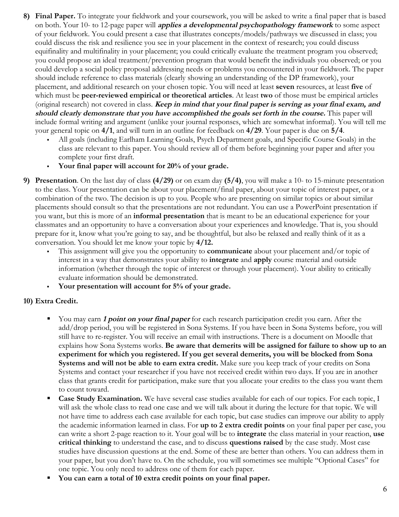- **8) Final Paper.** To integrate your fieldwork and your coursework, you will be asked to write a final paper that is based on both. Your 10- to 12-page paper will **applies a developmental psychopathology framework** to some aspect of your fieldwork. You could present a case that illustrates concepts/models/pathways we discussed in class; you could discuss the risk and resilience you see in your placement in the context of research; you could discuss equifinality and multifinality in your placement; you could critically evaluate the treatment program you observed; you could propose an ideal treatment/prevention program that would benefit the individuals you observed; or you could develop a social policy proposal addressing needs or problems you encountered in your fieldwork. The paper should include reference to class materials (clearly showing an understanding of the DP framework), your placement, and additional research on your chosen topic. You will need at least **seven** resources, at least **five** of which must be **peer-reviewed empirical or theoretical articles**. At least **two** of those must be empirical articles (original research) not covered in class. **Keep in mind that your final paper is serving as your final exam, and should clearly demonstrate that you have accomplished the goals set forth in the course.** This paper will include formal writing and argument (unlike your journal responses, which are somewhat informal). You will tell me your general topic on **4/1**, and will turn in an outline for feedback on **4/29**. Your paper is due on **5/4**.
	- All goals (including Earlham Learning Goals, Psych Department goals, and Specific Course Goals) in the class are relevant to this paper. You should review all of them before beginning your paper and after you complete your first draft.
	- § **Your final paper will account for 20% of your grade.**
- **9) Presentation**. On the last day of class **(4/29)** or on exam day **(5/4)**, you will make a 10- to 15-minute presentation to the class. Your presentation can be about your placement/final paper, about your topic of interest paper, or a combination of the two. The decision is up to you. People who are presenting on similar topics or about similar placements should consult so that the presentations are not redundant. You can use a PowerPoint presentation if you want, but this is more of an **informal presentation** that is meant to be an educational experience for your classmates and an opportunity to have a conversation about your experiences and knowledge. That is, you should prepare for it, know what you're going to say, and be thoughtful, but also be relaxed and really think of it as a conversation. You should let me know your topic by **4/12.**
	- § This assignment will give you the opportunity to **communicate** about your placement and/or topic of interest in a way that demonstrates your ability to **integrate** and **apply** course material and outside information (whether through the topic of interest or through your placement). Your ability to critically evaluate information should be demonstrated.
	- § **Your presentation will account for 5% of your grade.**

#### **10) Extra Credit.**

- § You may earn **1 point on your final paper** for each research participation credit you earn. After the add/drop period, you will be registered in Sona Systems. If you have been in Sona Systems before, you will still have to re-register. You will receive an email with instructions. There is a document on Moodle that explains how Sona Systems works. **Be aware that demerits will be assigned for failure to show up to an experiment for which you registered. If you get several demerits, you will be blocked from Sona Systems and will not be able to earn extra credit.** Make sure you keep track of your credits on Sona Systems and contact your researcher if you have not received credit within two days. If you are in another class that grants credit for participation, make sure that you allocate your credits to the class you want them to count toward.
- **Case Study Examination.** We have several case studies available for each of our topics. For each topic, I will ask the whole class to read one case and we will talk about it during the lecture for that topic. We will not have time to address each case available for each topic, but case studies can improve our ability to apply the academic information learned in class. For **up to 2 extra credit points** on your final paper per case, you can write a short 2-page reaction to it. Your goal will be to **integrate** the class material in your reaction, **use critical thinking** to understand the case, and to discuss **questions raised** by the case study. Most case studies have discussion questions at the end. Some of these are better than others. You can address them in your paper, but you don't have to. On the schedule, you will sometimes see multiple "Optional Cases" for one topic. You only need to address one of them for each paper.
- § **You can earn a total of 10 extra credit points on your final paper.**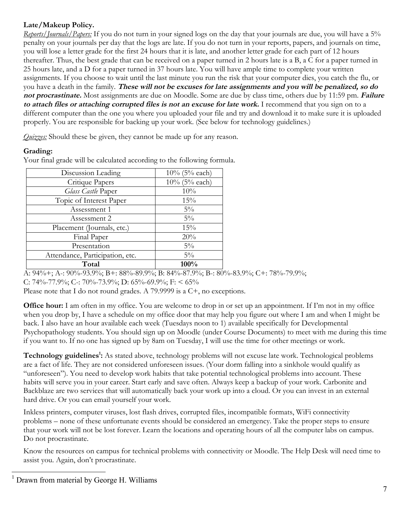# **Late/Makeup Policy.**

*Reports/Journals/Papers:* If you do not turn in your signed logs on the day that your journals are due, you will have a 5% penalty on your journals per day that the logs are late. If you do not turn in your reports, papers, and journals on time, you will lose a letter grade for the first 24 hours that it is late, and another letter grade for each part of 12 hours thereafter. Thus, the best grade that can be received on a paper turned in 2 hours late is a B, a C for a paper turned in 25 hours late, and a D for a paper turned in 37 hours late. You will have ample time to complete your written assignments. If you choose to wait until the last minute you run the risk that your computer dies, you catch the flu, or you have a death in the family. **These will not be excuses for late assignments and you will be penalized, so do not procrastinate.** Most assignments are due on Moodle. Some are due by class time, others due by 11:59 pm. **Failure to attach files or attaching corrupted files is not an excuse for late work.** I recommend that you sign on to a different computer than the one you where you uploaded your file and try and download it to make sure it is uploaded properly. You are responsible for backing up your work. (See below for technology guidelines.)

*Quizzes:* Should these be given, they cannot be made up for any reason.

#### **Grading:**

Your final grade will be calculated according to the following formula.

| Discussion Leading              | $10\%$ (5% each) |
|---------------------------------|------------------|
| Critique Papers                 | $10\%$ (5% each) |
| Glass Castle Paper              | 10%              |
| Topic of Interest Paper         | 15%              |
| Assessment 1                    | $5\%$            |
| Assessment 2                    | $5\%$            |
| Placement (Journals, etc.)      | 15%              |
| Final Paper                     | 20%              |
| Presentation                    | $5\%$            |
| Attendance, Participation, etc. | $5\%$            |
| Total                           | 100%             |

A:  $94\% +$ ; A-:  $90\% - 93.9\%$ ; B+:  $88\% - 89.9\%$ ; B:  $84\% - 87.9\%$ ; B-:  $80\% - 83.9\%$ ; C+: 78\% -79.9\%; C: 74%-77.9%; C-: 70%-73.9%; D: 65%-69.9%; F: < 65%

Please note that I do not round grades. A 79.9999 is a C+, no exceptions.

**Office hour:** I am often in my office. You are welcome to drop in or set up an appointment. If I'm not in my office when you drop by, I have a schedule on my office door that may help you figure out where I am and when I might be back. I also have an hour available each week (Tuesdays noon to 1) available specifically for Developmental Psychopathology students. You should sign up on Moodle (under Course Documents) to meet with me during this time if you want to. If no one has signed up by 8am on Tuesday, I will use the time for other meetings or work.

Technology guidelines<sup>1</sup>: As stated above, technology problems will not excuse late work. Technological problems are a fact of life. They are not considered unforeseen issues. (Your dorm falling into a sinkhole would qualify as "unforeseen"). You need to develop work habits that take potential technological problems into account. These habits will serve you in your career. Start early and save often. Always keep a backup of your work. Carbonite and Backblaze are two services that will automatically back your work up into a cloud. Or you can invest in an external hard drive. Or you can email yourself your work.

Inkless printers, computer viruses, lost flash drives, corrupted files, incompatible formats, WiFi connectivity problems – none of these unfortunate events should be considered an emergency. Take the proper steps to ensure that your work will not be lost forever. Learn the locations and operating hours of all the computer labs on campus. Do not procrastinate.

Know the resources on campus for technical problems with connectivity or Moodle. The Help Desk will need time to assist you. Again, don't procrastinate.

 $<sup>1</sup>$  Drawn from material by George H. Williams</sup>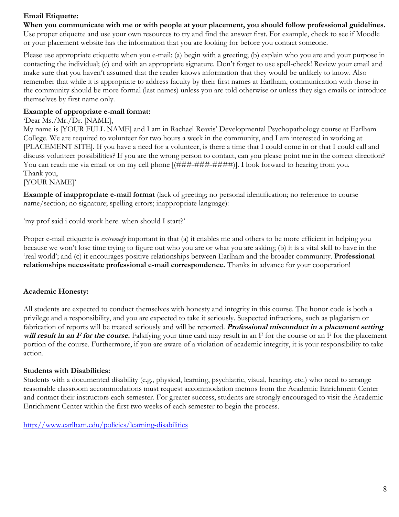#### **Email Etiquette:**

**When you communicate with me or with people at your placement, you should follow professional guidelines.** 

Use proper etiquette and use your own resources to try and find the answer first. For example, check to see if Moodle or your placement website has the information that you are looking for before you contact someone.

Please use appropriate etiquette when you e-mail: (a) begin with a greeting; (b) explain who you are and your purpose in contacting the individual; (c) end with an appropriate signature. Don't forget to use spell-check! Review your email and make sure that you haven't assumed that the reader knows information that they would be unlikely to know. Also remember that while it is appropriate to address faculty by their first names at Earlham, communication with those in the community should be more formal (last names) unless you are told otherwise or unless they sign emails or introduce themselves by first name only.

#### **Example of appropriate e-mail format:**

#### 'Dear Ms./Mr./Dr. [NAME],

My name is [YOUR FULL NAME] and I am in Rachael Reavis' Developmental Psychopathology course at Earlham College. We are required to volunteer for two hours a week in the community, and I am interested in working at [PLACEMENT SITE]. If you have a need for a volunteer, is there a time that I could come in or that I could call and discuss volunteer possibilities? If you are the wrong person to contact, can you please point me in the correct direction? You can reach me via email or on my cell phone  $[(\# \# \# \# \# \# \# \# \# \# \})]$ . I look forward to hearing from you. Thank you,

[YOUR NAME]'

**Example of inappropriate e-mail format** (lack of greeting; no personal identification; no reference to course name/section; no signature; spelling errors; inappropriate language):

'my prof said i could work here. when should I start?'

Proper e-mail etiquette is *extremely* important in that (a) it enables me and others to be more efficient in helping you because we won't lose time trying to figure out who you are or what you are asking; (b) it is a vital skill to have in the 'real world'; and (c) it encourages positive relationships between Earlham and the broader community. **Professional relationships necessitate professional e-mail correspondence.** Thanks in advance for your cooperation!

#### **Academic Honesty:**

All students are expected to conduct themselves with honesty and integrity in this course. The honor code is both a privilege and a responsibility, and you are expected to take it seriously. Suspected infractions, such as plagiarism or fabrication of reports will be treated seriously and will be reported. **Professional misconduct in a placement setting will result in an F for the course.** Falsifying your time card may result in an F for the course or an F for the placement portion of the course. Furthermore, if you are aware of a violation of academic integrity, it is your responsibility to take action.

#### **Students with Disabilities:**

Students with a documented disability (e.g., physical, learning, psychiatric, visual, hearing, etc.) who need to arrange reasonable classroom accommodations must request accommodation memos from the Academic Enrichment Center and contact their instructors each semester. For greater success, students are strongly encouraged to visit the Academic Enrichment Center within the first two weeks of each semester to begin the process.

http://www.earlham.edu/policies/learning-disabilities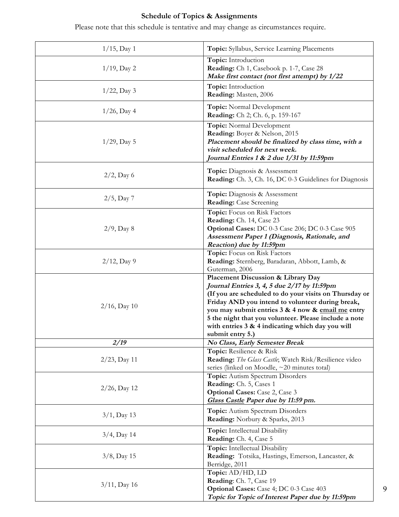# **Schedule of Topics & Assignments**

Please note that this schedule is tentative and may change as circumstances require.

| $1/15$ , Day 1  | Topic: Syllabus, Service Learning Placements                                                                                                                                                                                                                                                                                                                                          |
|-----------------|---------------------------------------------------------------------------------------------------------------------------------------------------------------------------------------------------------------------------------------------------------------------------------------------------------------------------------------------------------------------------------------|
| $1/19$ , Day 2  | Topic: Introduction<br>Reading: Ch 1, Casebook p. 1-7, Case 28<br>Make first contact (not first attempt) by 1/22                                                                                                                                                                                                                                                                      |
| $1/22$ , Day 3  | Topic: Introduction<br>Reading: Masten, 2006                                                                                                                                                                                                                                                                                                                                          |
| $1/26$ , Day 4  | Topic: Normal Development<br>Reading: Ch 2; Ch. 6, p. 159-167                                                                                                                                                                                                                                                                                                                         |
| $1/29$ , Day 5  | Topic: Normal Development<br>Reading: Boyer & Nelson, 2015<br>Placement should be finalized by class time, with a<br>visit scheduled for next week.<br>Journal Entries 1 & 2 due 1/31 by 11:59pm                                                                                                                                                                                      |
| $2/2$ , Day 6   | <b>Topic:</b> Diagnosis & Assessment<br><b>Reading:</b> Ch. 3, Ch. 16, DC 0-3 Guidelines for Diagnosis                                                                                                                                                                                                                                                                                |
| $2/5$ , Day 7   | Topic: Diagnosis & Assessment<br><b>Reading:</b> Case Screening                                                                                                                                                                                                                                                                                                                       |
| $2/9$ , Day 8   | Topic: Focus on Risk Factors<br>Reading: Ch. 14, Case 23<br>Optional Cases: DC 0-3 Case 206; DC 0-3 Case 905<br>Assessment Paper 1 (Diagnosis, Rationale, and<br>Reaction) due by 11:59pm                                                                                                                                                                                             |
| $2/12$ , Day 9  | Topic: Focus on Risk Factors<br>Reading: Sternberg, Baradaran, Abbott, Lamb, &<br>Guterman, 2006                                                                                                                                                                                                                                                                                      |
| $2/16$ , Day 10 | Placement Discussion & Library Day<br>Journal Entries 3, 4, 5 due 2/17 by 11:59pm<br>(If you are scheduled to do your visits on Thursday or<br>Friday AND you intend to volunteer during break,<br>you may submit entries 3 & 4 now & email me entry<br>5 the night that you volunteer. Please include a note<br>with entries 3 & 4 indicating which day you will<br>submit entry 5.) |
| 2/19            | No Class, Early Semester Break                                                                                                                                                                                                                                                                                                                                                        |
| $2/23$ , Day 11 | Topic: Resilience & Risk<br>Reading: The Glass Castle; Watch Risk/Resilience video<br>series (linked on Moodle, ~20 minutes total)                                                                                                                                                                                                                                                    |
| $2/26$ , Day 12 | Topic: Autism Spectrum Disorders<br>Reading: Ch. 5, Cases 1<br><b>Optional Cases:</b> Case 2, Case 3<br>Glass Castle Paper due by 11:59 pm.                                                                                                                                                                                                                                           |
| $3/1$ , Day 13  | Topic: Autism Spectrum Disorders<br>Reading: Norbury & Sparks, 2013                                                                                                                                                                                                                                                                                                                   |
| $3/4$ , Day 14  | <b>Topic:</b> Intellectual Disability<br>Reading: Ch. 4, Case 5                                                                                                                                                                                                                                                                                                                       |
| $3/8$ , Day 15  | Topic: Intellectual Disability<br>Reading: Totsika, Hastings, Emerson, Lancaster, &<br>Berridge, 2011                                                                                                                                                                                                                                                                                 |
| $3/11$ , Day 16 | Topic: AD/HD, LD<br>Reading: Ch. 7, Case 19<br>Optional Cases: Case 4; DC 0-3 Case 403<br>Topic for Topic of Interest Paper due by 11:59pm                                                                                                                                                                                                                                            |